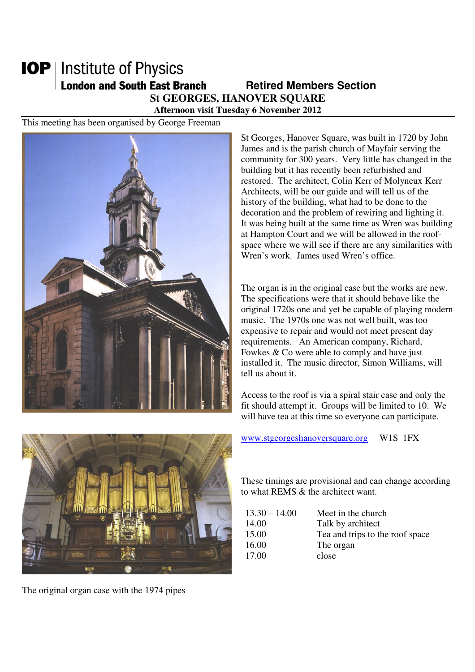## **IOP** | Institute of Physics **London and South East Branch Famely Retired Members Section St GEORGES, HANOVER SQUARE**

**Afternoon visit Tuesday 6 November 2012** 

This meeting has been organised by George Freeman



St Georges, Hanover Square, was built in 1720 by John James and is the parish church of Mayfair serving the community for 300 years. Very little has changed in the building but it has recently been refurbished and restored. The architect, Colin Kerr of Molyneux Kerr Architects, will be our guide and will tell us of the history of the building, what had to be done to the decoration and the problem of rewiring and lighting it. It was being built at the same time as Wren was building at Hampton Court and we will be allowed in the roofspace where we will see if there are any similarities with Wren's work. James used Wren's office.

The organ is in the original case but the works are new. The specifications were that it should behave like the original 1720s one and yet be capable of playing modern music. The 1970s one was not well built, was too expensive to repair and would not meet present day requirements. An American company, Richard, Fowkes & Co were able to comply and have just installed it. The music director, Simon Williams, will tell us about it.

Access to the roof is via a spiral stair case and only the fit should attempt it. Groups will be limited to 10. We will have tea at this time so everyone can participate.



The original organ case with the 1974 pipes

www.stgeorgeshanoversquare.org W1S 1FX

These timings are provisional and can change according to what REMS & the architect want.

| $13.30 - 14.00$ | Meet in the church              |
|-----------------|---------------------------------|
| 14.00           | Talk by architect               |
| 15.00           | Tea and trips to the roof space |
| 16.00           | The organ                       |
| 17.00           | close                           |